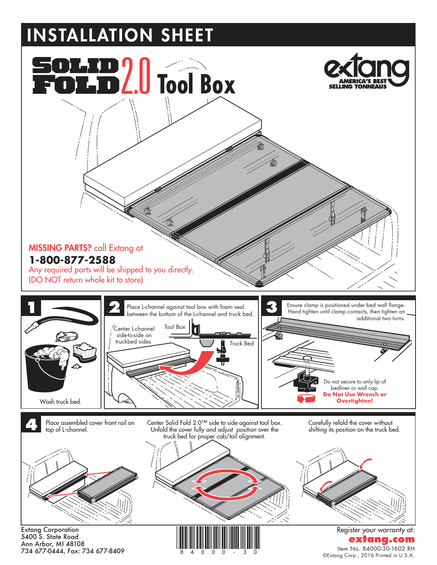## **INSTALLATION SHEET**



5400 S. State Road Ann Arbor, MI 48108 734 677-0444, Fax: 734 677-8409

**extang** Item No. 84000-30-1602 RH ©Extang Corp., 2016 Printed in U.S.A.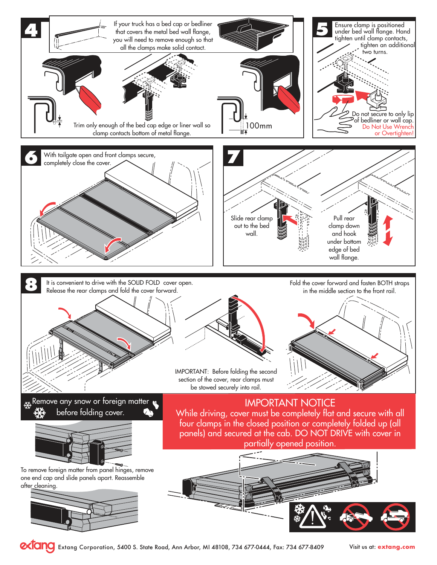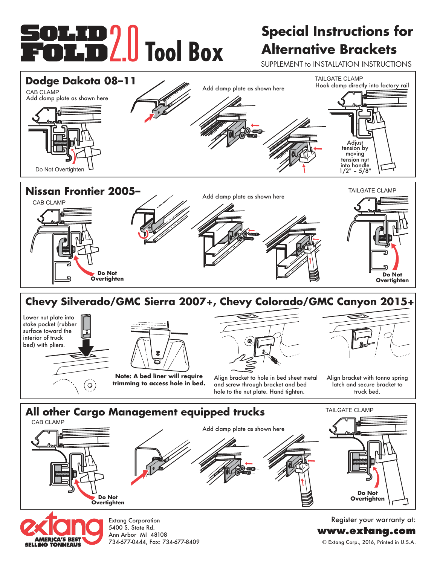# **FOLID 2.0** Tool Box

### **Special Instructions for Alternative Brackets**

SUPPLEMENT to INSTALLATION INSTRUCTIONS





Extang Corporation 5400 S. State Rd. Ann Arbor MI 48108 734-677-0444, Fax: 734-677-8409

Register your warranty at: **www.extang.com** © Extang Corp., 2016, Printed in U.S.A.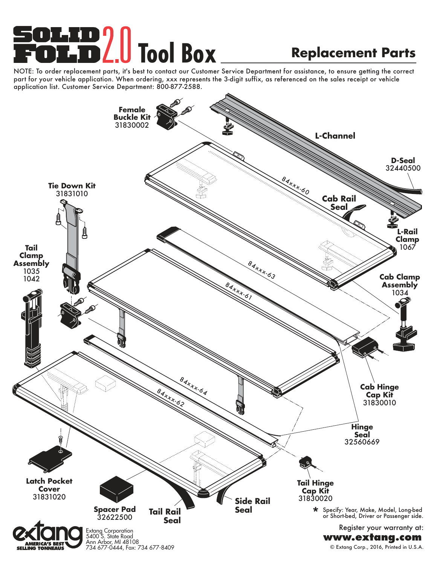# **T. TD 2.0 Tool Box**

### **Replacement Parts**

NOTE: To order replacement parts, it's best to contact our Customer Service Department for assistance, to ensure getting the correct part for your vehicle application. When ordering, xxx represents the 3-digit suffix, as referenced on the sales receipt or vehicle application list. Customer Service Department: 800-877-2588.

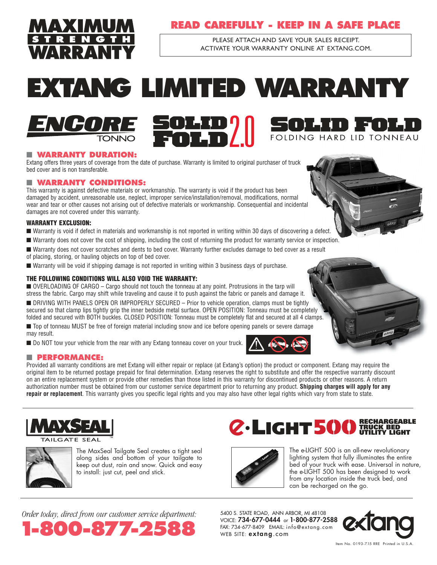

#### **READ CAREFULLY - KEEP IN A SAFE PLACE**

PLEASE ATTACH AND SAVE YOUR SALES RECEIPT. ACTIVATE YOUR wARRANTY ONLINE AT ExTANg.COm.

## **EXTANG LIMITED WARRANTY**



### FOLDING HARD LID TONNEAU

#### ■ **WARRANTY DURATION:**

Extang offers three years of coverage from the date of purchase. Warranty is limited to original purchaser of truck bed cover and is non transferable.

#### ■ **WARRANTY CONDITIONS:**

This warranty is against defective materials or workmanship. The warranty is void if the product has been damaged by accident, unreasonable use, neglect, improper service/installation/removal, modifications, normal wear and tear or other causes not arising out of defective materials or workmanship. Consequential and incidental damages are not covered under this warranty.

#### WARRANTY EXCLUSION:

- Warranty is void if defect in materials and workmanship is not reported in writing within 30 days of discovering a defect.
- Warranty does not cover the cost of shipping, including the cost of returning the product for warranty service or inspection.
- Warranty does not cover scratches and dents to bed cover. Warranty further excludes damage to bed cover as a result
- of placing, storing, or hauling objects on top of bed cover.
- Warranty will be void if shipping damage is not reported in writing within 3 business days of purchase.

#### THE FOLLOWING CONDITIONS WILL ALSO VOID THE WARRANTY:

■ OVERLOADING OF CARGO – Cargo should not touch the tonneau at any point. Protrusions in the tarp will stress the fabric. Cargo may shift while traveling and cause it to push against the fabric or panels and damage it.

■ DRIVING WITH PANELS OPEN OR IMPROPERLY SECURED – Prior to vehicle operation, clamps must be tightly secured so that clamp lips tightly grip the inner bedside metal surface. OPEN POSITION: Tonneau must be completely folded and secured with BOTH buckles. CLOSED POSITION: Tonneau must be completely flat and secured at all 4 clamps.

■ Top of tonneau MUST be free of foreign material including snow and ice before opening panels or severe damage may result.

■ Do NOT tow your vehicle from the rear with any Extang tonneau cover on your truck.



#### ■ **PERFORMANCE:**

Provided all warranty conditions are met Extang will either repair or replace (at Extang's option) the product or component. Extang may require the original item to be returned postage prepaid for final determination. Extang reserves the right to substitute and offer the respective warranty discount on an entire replacement system or provide other remedies than those listed in this warranty for discontinued products or other reasons. A return authorization number must be obtained from our customer service department prior to returning any product. **Shipping charges will apply for any repair or replacement**. This warranty gives you specific legal rights and you may also have other legal rights which vary from state to state.







The MaxSeal Tailgate Seal creates a tight seal along sides and bottom of your tailgate to keep out dust, rain and snow. Quick and easy to install: just cut, peel and stick.

### RECHARGEABLE TRUCK BED UTILITY LIGHT



The e-LIGHT 500 is an all-new revolutionary lighting system that fully illuminates the entire bed of your truck with ease. Universal in nature, the e-LIGHT 500 has been designed to work from any location inside the truck bed, and can be recharged on the go.

*Order today, direct from our customer service department:*



5400 S. STATE ROAD, ANN ARBOR, MI 48108 VOICE: **734-677-0444** or **1-800-877-2588**<br>FAX: 734-677-8409 EMAIL: info@extang.com



Item No. 0193-7.15 RRE Printed in U.S.A.